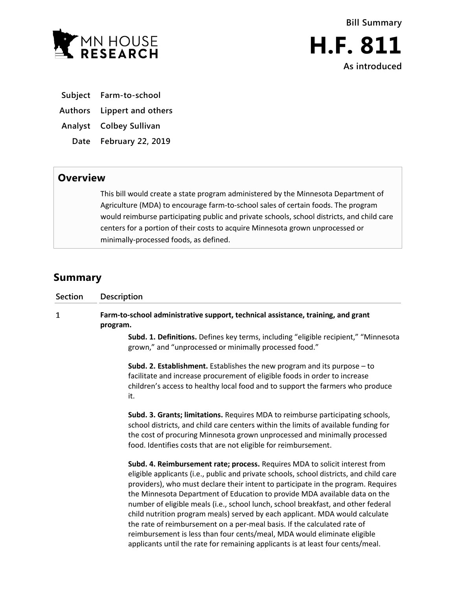

- **Subject Farm-to-school**
- **Authors Lippert and others**
- **Analyst Colbey Sullivan**
	- **Date February 22, 2019**

## **Overview**

This bill would create a state program administered by the Minnesota Department of Agriculture (MDA) to encourage farm-to-school sales of certain foods. The program would reimburse participating public and private schools, school districts, and child care centers for a portion of their costs to acquire Minnesota grown unprocessed or minimally-processed foods, as defined.

## **Summary**

| Section      | Description                                                                                                                                                                                                                                                                                                                                                                                                                                                                                                                                                                                                                                                                                                                                               |
|--------------|-----------------------------------------------------------------------------------------------------------------------------------------------------------------------------------------------------------------------------------------------------------------------------------------------------------------------------------------------------------------------------------------------------------------------------------------------------------------------------------------------------------------------------------------------------------------------------------------------------------------------------------------------------------------------------------------------------------------------------------------------------------|
| $\mathbf{1}$ | Farm-to-school administrative support, technical assistance, training, and grant<br>program.                                                                                                                                                                                                                                                                                                                                                                                                                                                                                                                                                                                                                                                              |
|              | Subd. 1. Definitions. Defines key terms, including "eligible recipient," "Minnesota<br>grown," and "unprocessed or minimally processed food."                                                                                                                                                                                                                                                                                                                                                                                                                                                                                                                                                                                                             |
|              | <b>Subd. 2. Establishment.</b> Establishes the new program and its purpose $-$ to<br>facilitate and increase procurement of eligible foods in order to increase<br>children's access to healthy local food and to support the farmers who produce<br>it.                                                                                                                                                                                                                                                                                                                                                                                                                                                                                                  |
|              | Subd. 3. Grants; limitations. Requires MDA to reimburse participating schools,<br>school districts, and child care centers within the limits of available funding for<br>the cost of procuring Minnesota grown unprocessed and minimally processed<br>food. Identifies costs that are not eligible for reimbursement.                                                                                                                                                                                                                                                                                                                                                                                                                                     |
|              | Subd. 4. Reimbursement rate; process. Requires MDA to solicit interest from<br>eligible applicants (i.e., public and private schools, school districts, and child care<br>providers), who must declare their intent to participate in the program. Requires<br>the Minnesota Department of Education to provide MDA available data on the<br>number of eligible meals (i.e., school lunch, school breakfast, and other federal<br>child nutrition program meals) served by each applicant. MDA would calculate<br>the rate of reimbursement on a per-meal basis. If the calculated rate of<br>reimbursement is less than four cents/meal, MDA would eliminate eligible<br>applicants until the rate for remaining applicants is at least four cents/meal. |